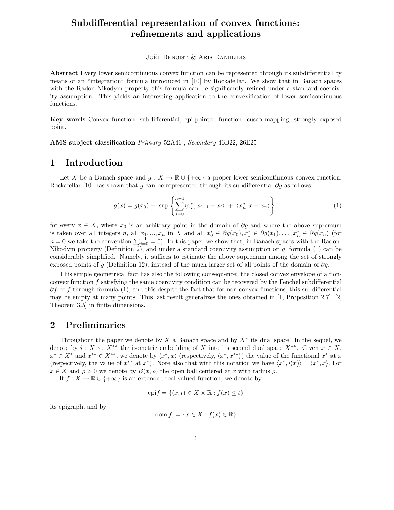# **Subdifferential representation of convex functions: refinements and applications**

JOËL BENOIST  $&$  ARIS DANIILIDIS

**Abstract** Every lower semicontinuous convex function can be represented through its subdifferential by means of an "integration" formula introduced in [10] by Rockafellar. We show that in Banach spaces with the Radon-Nikodym property this formula can be significantly refined under a standard coercivity assumption. This yields an interesting application to the convexification of lower semicontinuous functions.

**Key words** Convex function, subdifferential, epi-pointed function, cusco mapping, strongly exposed point.

**AMS subject classification** *Primary* 52A41 ; *Secondary* 46B22, 26E25

### **1 Introduction**

Let X be a Banach space and  $g: X \to \mathbb{R} \cup \{+\infty\}$  a proper lower semicontinuous convex function. Rockafellar [10] has shown that q can be represented through its subdifferential  $\partial q$  as follows:

$$
g(x) = g(x_0) + \sup \left\{ \sum_{i=0}^{n-1} \langle x_i^*, x_{i+1} - x_i \rangle + \langle x_n^*, x - x_n \rangle \right\},\tag{1}
$$

for every  $x \in X$ , where  $x_0$  is an arbitrary point in the domain of  $\partial g$  and where the above supremum is taken over all integers *n*, all  $x_1, ..., x_n$  in X and all  $x_0^* \in \partial g(x_0), x_1^* \in \partial g(x_1), ..., x_n^* \in \partial g(x_n)$  (for  $n = 0$  we take the convention  $\sum_{i=1}^{n} a_i$ ) In this paper we show that in Bangel spaces with the Bodon  $n = 0$  we take the convention  $\sum_{i=0}^{-1} = 0$ ). In this paper we show that, in Banach spaces with the Radon-<br>Nikodym property (Definition 2) and under a standard coercivity assumption on a formula (1) can be Nikodym property (Definition 2), and under a standard coercivity assumption on  $g$ , formula (1) can be considerably simplified. Namely, it suffices to estimate the above supremum among the set of strongly exposed points of g (Definition 12), instead of the much larger set of all points of the domain of  $\partial g$ .

This simple geometrical fact has also the following consequence: the closed convex envelope of a nonconvex function f satisfying the same coercivity condition can be recovered by the Fenchel subdifferential  $\partial f$  of f through formula (1), and this despite the fact that for non-convex functions, this subdifferential may be empty at many points. This last result generalizes the ones obtained in [1, Proposition 2.7], [2, Theorem 3.5] in finite dimensions.

### **2 Preliminaries**

Throughout the paper we denote by X a Banach space and by  $X^*$  its dual space. In the sequel, we denote by  $\hat{i}: X \leadsto X^{**}$  the isometric embedding of X into its second dual space  $X^{**}$ . Given  $x \in X$ ,  $x^* \in X^{**}$  we denote by  $\langle x^*, x \rangle$  (respectively  $\langle x^*, x^{**} \rangle$ ) the value of the functional  $x^*$  at x  $x^* \in X^*$  and  $x^{**} \in X^{**}$ , we denote by  $\langle x^*, x \rangle$  (respectively,  $\langle x^*, x^{**} \rangle$ ) the value of the functional  $x^*$  at x (respectively, the value of  $x^{**}$  at  $x^*$ ). Note also that with this notation we have  $\langle x^*, \hat{i}(x) \rangle = \langle x^*, x \rangle$ . For  $x \in X$  and  $\rho > 0$  we denote by  $B(x, \rho)$  the open ball centered at x with radius  $\rho$ .

If  $f: X \to \mathbb{R} \cup \{+\infty\}$  is an extended real valued function, we denote by

$$
epif = \{(x, t) \in X \times \mathbb{R} : f(x) \le t\}
$$

its epigraph, and by

$$
\mathrm{dom}\, f := \{x \in X : f(x) \in \mathbb{R}\}
$$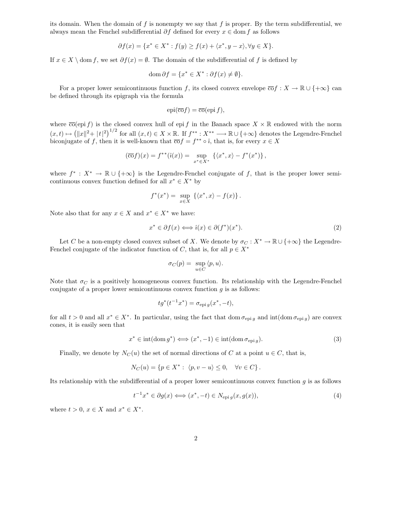its domain. When the domain of  $f$  is nonempty we say that  $f$  is proper. By the term subdifferential, we always mean the Fenchel subdifferential  $\partial f$  defined for every  $x \in \text{dom } f$  as follows

$$
\partial f(x) = \{x^* \in X^* : f(y) \ge f(x) + \langle x^*, y - x \rangle, \forall y \in X\}.
$$

If  $x \in X \setminus \text{dom } f$ , we set  $\partial f(x) = \emptyset$ . The domain of the subdifferential of f is defined by

$$
\operatorname{dom}\partial f = \{x^* \in X^* : \partial f(x) \neq \emptyset\}.
$$

For a proper lower semicontinuous function f, its closed convex envelope  $\overline{co}f : X \to \mathbb{R} \cup \{+\infty\}$  can be defined through its epigraph via the formula

$$
epi(\overline{\mathrm{co}}f)=\overline{\mathrm{co}}(\mathrm{epi}\,f),
$$

where  $\overline{\text{co}}(\text{epi } f)$  is the closed convex hull of epi f in the Banach space  $X \times \mathbb{R}$  endowed with the norm  $(x,t) \mapsto (||x||^2 + |t|^2)^{1/2}$  for all  $(x,t) \in X \times \mathbb{R}$ . If  $f^{**}: X^{**} \longrightarrow \mathbb{R} \cup \{+\infty\}$  denotes the Legendre-Fenchel<br>biconjugate of f, then it is well-known that  $\overline{co} f = f^{**} \circ \hat{i}$  that is for every  $x \in X$ biconjugate of f, then it is well-known that  $\overline{co} f = f^{**} \circ \hat{\imath}$ , that is, for every  $x \in X$ 

$$
(\overline{\text{co}} f)(x) = f^{**}(\hat{\imath}(x)) = \sup_{x^* \in X^*} \left\{ \langle x^*, x \rangle - f^*(x^*) \right\},\,
$$

where  $f^* : X^* \to \mathbb{R} \cup \{+\infty\}$  is the Legendre-Fenchel conjugate of f, that is the proper lower semicontinuous convex function defined for all  $x^* \in X^*$  by

$$
f^*(x^*) = \sup_{x \in X} \left\{ \langle x^*, x \rangle - f(x) \right\}.
$$

Note also that for any  $x \in X$  and  $x^* \in X^*$  we have:

$$
x^* \in \partial f(x) \Longleftrightarrow \hat{\imath}(x) \in \partial (f^*)(x^*). \tag{2}
$$

Let C be a non-empty closed convex subset of X. We denote by  $\sigma_C : X^* \to \mathbb{R} \cup \{+\infty\}$  the Legendre-Fenchel conjugate of the indicator function of C, that is, for all  $p \in X^*$ 

$$
\sigma_C(p) = \sup_{u \in C} \langle p, u \rangle.
$$

Note that  $\sigma_C$  is a positively homogeneous convex function. Its relationship with the Legendre-Fenchel conjugate of a proper lower semicontinuous convex function  $g$  is as follows:

$$
tg^*(t^{-1}x^*) = \sigma_{\text{epi }g}(x^*, -t),
$$

for all  $t > 0$  and all  $x^* \in X^*$ . In particular, using the fact that dom  $\sigma_{\text{epi } q}$  and  $\text{int}(\text{dom }\sigma_{\text{epi } q})$  are convex cones, it is easily seen that

 $x^* \in \text{int}(\text{dom } g^*) \Longleftrightarrow (x^*, -1) \in \text{int}(\text{dom } \sigma_{\text{enig}}).$  (3)

Finally, we denote by  $N_C(u)$  the set of normal directions of C at a point  $u \in C$ , that is,

$$
N_C(u) = \{ p \in X^* : \langle p, v - u \rangle \le 0, \quad \forall v \in C \}.
$$

Its relationship with the subdifferential of a proper lower semicontinuous convex function  $g$  is as follows

$$
t^{-1}x^* \in \partial g(x) \Longleftrightarrow (x^*, -t) \in N_{\text{epi}g}(x, g(x)),\tag{4}
$$

where  $t > 0$ ,  $x \in X$  and  $x^* \in X^*$ .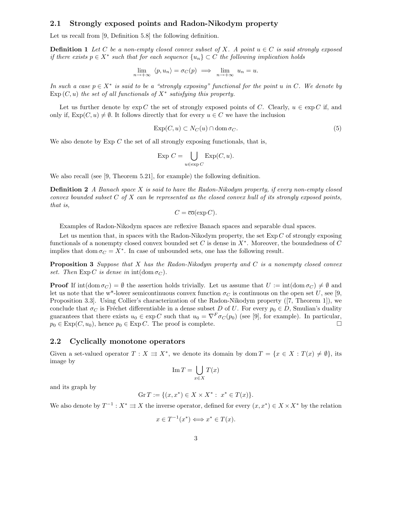#### **2.1 Strongly exposed points and Radon-Nikodym property**

Let us recall from [9, Definition 5.8] the following definition.

**Definition 1** *Let* C *be a non-empty closed convex subset of* X. A point  $u \in C$  *is said strongly exposed if there exists*  $p \in X^*$  *such that for each sequence*  $\{u_n\} \subset C$  *the following implication holds* 

$$
\lim_{n \to +\infty} \langle p, u_n \rangle = \sigma_C(p) \implies \lim_{n \to +\infty} u_n = u.
$$

*In such a case*  $p \in X^*$  *is said to be a "strongly exposing" functional for the point u in C. We denote by*  $Exp(C, u)$  *the set of all functionals of*  $X^*$  *satisfying this property.* 

Let us further denote by  $\exp C$  the set of strongly exposed points of C. Clearly,  $u \in \exp C$  if, and only if,  $Exp(C, u) \neq \emptyset$ . It follows directly that for every  $u \in C$  we have the inclusion

$$
\exp(C, u) \subset N_C(u) \cap \text{dom}\,\sigma_C. \tag{5}
$$

We also denote by  $Exp C$  the set of all strongly exposing functionals, that is,

$$
\operatorname{Exp} C = \bigcup_{u \in \exp C} \operatorname{Exp}(C, u).
$$

We also recall (see [9, Theorem 5.21], for example) the following definition.

**Definition 2** *A Banach space* X *is said to have the Radon-Nikodym property, if every non-empty closed convex bounded subset* C *of* X *can be represented as the closed convex hull of its strongly exposed points, that is,*

$$
C = \overline{\mathrm{co}}(\exp C).
$$

Examples of Radon-Nikodym spaces are reflexive Banach spaces and separable dual spaces.

Let us mention that, in spaces with the Radon-Nikodym property, the set  $Exp C$  of strongly exposing functionals of a nonempty closed convex bounded set C is dense in  $X^*$ . Moreover, the boundedness of C implies that dom  $\sigma_C = X^*$ . In case of unbounded sets, one has the following result.

**Proposition 3** *Suppose that* X *has the Radon-Nikodym property and* C *is a nonempty closed convex set.* Then  $Exp C$  *is dense in*  $int(dom \sigma C)$ *.* 

**Proof** If  $\text{int}(\text{dom }\sigma_C) = \emptyset$  the assertion holds trivially. Let us assume that  $U := \text{int}(\text{dom }\sigma_C) \neq \emptyset$  and let us note that the w<sup>\*</sup>-lower semicontinuous convex function  $\sigma_C$  is continuous on the open set U, see [9, Proposition 3.3]. Using Collier's characterization of the Radon-Nikodym property ([7, Theorem 1]), we conclude that  $\sigma_C$  is Fréchet differentiable in a dense subset D of U. For every  $p_0 \in D$ , Smulian's duality guarantees that there exists  $u_0 \in \exp C$  such that  $u_0 = \nabla^F \sigma_C(p_0)$  (see [9], for example). In particular,  $p_0 \in \exp(C, u_0)$ , hence  $p_0 \in \exp C$ . The proof is complete.  $p_0 \in \text{Exp}(C, u_0)$ , hence  $p_0 \in \text{Exp} C$ . The proof is complete.

#### **2.2 Cyclically monotone operators**

Given a set-valued operator  $T : X \rightrightarrows X^*$ , we denote its domain by dom  $T = \{x \in X : T(x) \neq \emptyset\}$ , its image by

$$
\operatorname{Im} T = \bigcup_{x \in X} T(x)
$$

and its graph by

$$
\mathrm{Gr}\,T := \{(x,x^*) \in X \times X^* : \ x^* \in T(x)\}.
$$

We also denote by  $T^{-1}$  :  $X^* \rightrightarrows X$  the inverse operator, defined for every  $(x, x^*) \in X \times X^*$  by the relation

$$
x \in T^{-1}(x^*) \Longleftrightarrow x^* \in T(x).
$$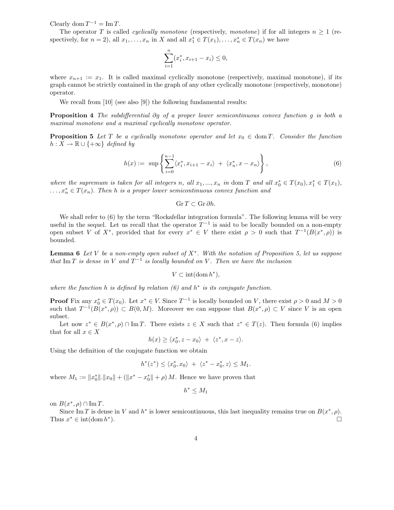Clearly dom  $T^{-1} = \text{Im } T$ .

The operator T is called *cyclically monotone* (respectively, *monotone*) if for all integers  $n \geq 1$  (respectively, for  $n = 2$ ), all  $x_1, \ldots, x_n$  in X and all  $x_1^* \in T(x_1), \ldots, x_n^* \in T(x_n)$  we have

$$
\sum_{i=1}^{n} (x_i^*, x_{i+1} - x_i) \le 0,
$$

where  $x_{n+1} := x_1$ . It is called maximal cyclically monotone (respectively, maximal monotone), if its graph cannot be strictly contained in the graph of any other cyclically monotone (respectively, monotone) operator.

We recall from [10] (see also [9]) the following fundamental results:

**Proposition 4** *The subdifferential* ∂g *of a proper lower semicontinuous convex function* g *is both a maximal monotone and a maximal cyclically monotone operator.*

**Proposition 5** Let T be a cyclically monotone operator and let  $x_0 \in \text{dom } T$ . Consider the function  $h: X \to \mathbb{R} \cup \{+\infty\}$  *defined by* 

$$
h(x) := \sup \left\{ \sum_{i=0}^{n-1} \langle x_i^*, x_{i+1} - x_i \rangle + \langle x_n^*, x - x_n \rangle \right\},\tag{6}
$$

*where the supremum is taken for all integers* n, all  $x_1, ..., x_n$  *in* dom T and all  $x_0^* \in T(x_0), x_1^* \in T(x_1),$ <br>  $x^* \in T(x_1)$ . Then h is a proper lower semicontinuous convertingtion and ...,x<sup>∗</sup> *<sup>n</sup>* <sup>∈</sup> <sup>T</sup>(x*<sup>n</sup>*). *Then* <sup>h</sup> *is a proper lower semicontinuous convex function and*

$$
\operatorname{Gr} T \subset \operatorname{Gr} \partial h.
$$

We shall refer to (6) by the term "Rockafellar integration formula". The following lemma will be very useful in the sequel. Let us recall that the operator  $T^{-1}$  is said to be locally bounded on a non-empty open subset V of X<sup>\*</sup>, provided that for every  $x^* \in V$  there exist  $\rho > 0$  such that  $T^{-1}(B(x^*, \rho))$  is bounded.

**Lemma 6** *Let* V *be a non-empty open subset of* X<sup>∗</sup>*. With the notation of Proposition 5, let us suppose that* Im T *is dense in* V and  $T^{-1}$  *is locally bounded on* V. Then we have the inclusion

$$
V\subset\operatorname*{int}(\operatorname*{dom}h^{\ast}),
$$

*where the function* h *is defined by relation (6) and* h<sup>∗</sup> *is its conjugate function.*

**Proof** Fix any  $x_0^* \in T(x_0)$ . Let  $x^* \in V$ . Since  $T^{-1}$  is locally bounded on V, there exist  $\rho > 0$  and  $M > 0$ <br>such that  $T^{-1}(B(x^*, \rho)) \subset B(0, M)$ . Moreover we can suppose that  $B(x^*, \rho) \subset V$  since V is an open such that  $T^{-1}(B(x^*, \rho)) \subset B(0, M)$ . Moreover we can suppose that  $B(x^*, \rho) \subset V$  since V is an open subset.

Let now  $z^* \in B(x^*, \rho) \cap \text{Im } T$ . There exists  $z \in X$  such that  $z^* \in T(z)$ . Then formula (6) implies that for all  $x \in X$ 

$$
h(x) \ge \langle x_0^*, z - x_0 \rangle + \langle z^*, x - z \rangle.
$$

Using the definition of the conjugate function we obtain

$$
h^*(z^*) \le \langle x_0^*, x_0 \rangle + \langle z^* - x_0^*, z \rangle \le M_1.
$$

where  $M_1 := \|x_0^*\| \cdot \|x_0\| + (\|x^* - x_0^*\| + \rho) M$ . Hence we have proven that

$$
h^* \leq M_1
$$

on  $B(x^*, \rho) \cap \text{Im } T$ .

Since Im T is dense in V and  $h^*$  is lower semicontinuous, this last inequality remains true on  $B(x^*, \rho)$ . Thus  $x^* \in \text{int}(\text{dom } h^*)$ .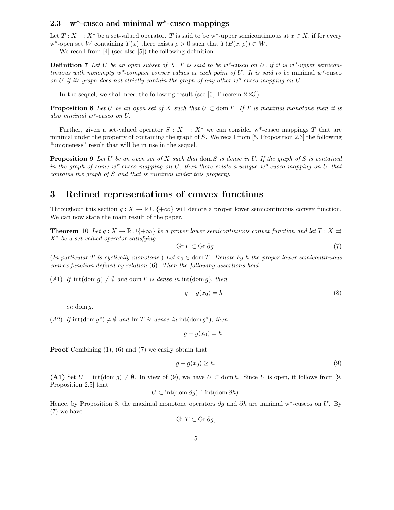### **2.3 w\*-cusco and minimal w\*-cusco mappings**

Let  $T : X \rightrightarrows X^*$  be a set-valued operator. T is said to be w<sup>\*</sup>-upper semicontinuous at  $x \in X$ , if for every w<sup>\*</sup>-open set W containing  $T(x)$  there exists  $\rho > 0$  such that  $T(B(x, \rho)) \subset W$ .

We recall from [4] (see also [5]) the following definition.

**Definition 7** Let U be an open subset of X. T is said to be  $w^*$ -cusco on U, if it is  $w^*$ -upper semicon*tinuous with nonempty w\*-compact convex values at each point of* U*. It is said to be* minimal *w\*-*cusco *on* U *if its graph does not strictly contain the graph of any other w\*-cusco mapping on* U*.*

In the sequel, we shall need the following result (see [5, Theorem 2.23]).

**Proposition 8** Let U be an open set of X such that  $U \subset \text{dom } T$ . If T is maximal monotone then it is *also minimal w\*-cusco on* U.

Further, given a set-valued operator  $S : X \rightrightarrows X^*$  we can consider w<sup>\*</sup>-cusco mappings T that are minimal under the property of containing the graph of S. We recall from [5, Proposition 2.3] the following "uniqueness" result that will be in use in the sequel.

**Proposition 9** *Let* U *be an open set of* X *such that* dom S *is dense in* U. *If the graph of* S *is contained in the graph of some w\*-cusco mapping on* U*, then there exists a unique w\*-cusco mapping on* U *that contains the graph of* S *and that is minimal under this property.*

## **3 Refined representations of convex functions**

Throughout this section  $g: X \to \mathbb{R} \cup \{+\infty\}$  will denote a proper lower semicontinuous convex function. We can now state the main result of the paper.

**Theorem 10** *Let*  $g: X \to \mathbb{R} \cup \{+\infty\}$  *be a proper lower semicontinuous convex function and let*  $T: X \rightrightarrows$ <sup>X</sup><sup>∗</sup> *be a set-valued operator satisfying*

$$
\operatorname{Gr} T \subset \operatorname{Gr} \partial g. \tag{7}
$$

(*In particular* T *is cyclically monotone.*) Let  $x_0 \in \text{dom } T$ . Denote by h the proper lower semicontinuous *convex function defined by relation* (6)*. Then the following assertions hold.*

(A1) If  $\text{int}(\text{dom } g) \neq \emptyset$  and  $\text{dom } T$  *is dense in*  $\text{int}(\text{dom } g)$ , *then* 

$$
g - g(x_0) = h \tag{8}
$$

*on* dom g*.*

 $(A2)$  *If*  $\text{int}(\text{dom } g^*) \neq \emptyset$  *and*  $\text{Im } T$  *is dense in*  $\text{int}(\text{dom } g^*)$ *, then* 

$$
g - g(x_0) = h.
$$

**Proof** Combining  $(1)$ ,  $(6)$  and  $(7)$  we easily obtain that

$$
g - g(x_0) \ge h. \tag{9}
$$

**(A1)** Set  $U = \text{int}(\text{dom } q) \neq \emptyset$ . In view of (9), we have  $U \subset \text{dom } h$ . Since U is open, it follows from [9, Proposition 2.5] that

$$
U \subset \mathrm{int}(\mathrm{dom}\,\partial g) \cap \mathrm{int}(\mathrm{dom}\,\partial h).
$$

Hence, by Proposition 8, the maximal monotone operators  $\partial g$  and  $\partial h$  are minimal w\*-cuscos on U. By (7) we have

$$
\operatorname{Gr} T \subset \operatorname{Gr} \partial g,
$$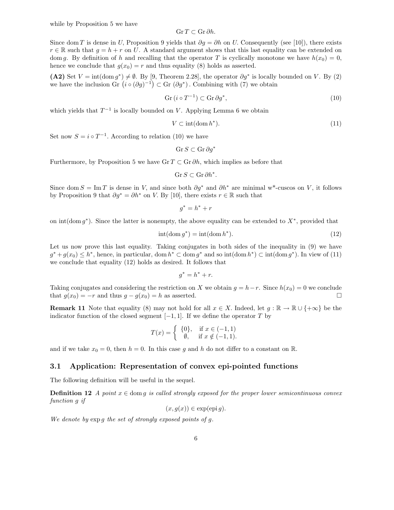$$
\operatorname{Gr} T \subset \operatorname{Gr} \partial h.
$$

Since dom T is dense in U, Proposition 9 yields that  $\partial g = \partial h$  on U. Consequently (see [10]), there exists  $x \in \mathbb{R}$  such that  $a = h + x$  on  $U$ . A standard argument shows that this last equality can be extended on  $r \in \mathbb{R}$  such that  $q = h + r$  on U. A standard argument shows that this last equality can be extended on dom q. By definition of h and recalling that the operator T is cyclically monotone we have  $h(x_0) = 0$ , hence we conclude that  $g(x_0) = r$  and thus equality (8) holds as asserted.

 $(A2)$  Set  $V = \text{int}(\text{dom } g^*) \neq \emptyset$ . By [9, Theorem 2.28], the operator  $\partial g^*$  is locally bounded on V. By (2) we have the inclusion Gr  $(i \circ (\partial g)^{-1}) \subset$  Gr  $(\partial g^*)$ . Combining with (7) we obtain

$$
Gr(i \circ T^{-1}) \subset Gr \, \partial g^*,\tag{10}
$$

which yields that  $T^{-1}$  is locally bounded on V. Applying Lemma 6 we obtain

$$
V \subset \text{int}(\text{dom } h^*). \tag{11}
$$

Set now  $S = i \circ T^{-1}$ . According to relation (10) we have

$$
\operatorname{Gr} S \subset \operatorname{Gr} \partial g^*
$$

Furthermore, by Proposition 5 we have Gr  $T \subset \mathbb{G}r \partial h$ , which implies as before that

$$
\operatorname{Gr} S \subset \operatorname{Gr} \partial h^*.
$$

Since dom  $S = \text{Im }T$  is dense in V, and since both  $\partial g^*$  and  $\partial h^*$  are minimal w<sup>\*</sup>-cuscos on V, it follows by Proposition 9 that  $\partial q^* = \partial h^*$  on V. By [10], there exists  $r \in \mathbb{R}$  such that

$$
g^* = h^* + r
$$

on int(dom  $q^*$ ). Since the latter is nonempty, the above equality can be extended to  $X^*$ , provided that

$$
int(\text{dom } g^*) = int(\text{dom } h^*). \tag{12}
$$

Let us now prove this last equality. Taking conjugates in both sides of the inequality in (9) we have  $g^* + g(x_0) \leq h^*$ , hence, in particular, dom  $h^* \subset \text{dom } g^*$  and so int $(\text{dom } h^*) \subset \text{int}(\text{dom } g^*)$ . In view of (11) we conclude that equality (12) holds as desired. It follows that

$$
g^* = h^* + r.
$$

Taking conjugates and considering the restriction on X we obtain  $g = h-r$ . Since  $h(x_0) = 0$  we conclude that  $g(x_0) = -r$  and thus  $g - g(x_0) = h$  as asserted. that  $g(x_0) = -r$  and thus  $g - g(x_0) = h$  as asserted.

**Remark 11** Note that equality (8) may not hold for all  $x \in X$ . Indeed, let  $g : \mathbb{R} \to \mathbb{R} \cup \{+\infty\}$  be the indicator function of the closed segment  $[-1, 1]$ . If we define the operator T by

$$
T(x) = \begin{cases} \{0\}, & \text{if } x \in (-1, 1) \\ \emptyset, & \text{if } x \notin (-1, 1). \end{cases}
$$

and if we take  $x_0 = 0$ , then  $h = 0$ . In this case g and h do not differ to a constant on R.

#### **3.1 Application: Representation of convex epi-pointed functions**

The following definition will be useful in the sequel.

**Definition 12** *A point*  $x \in \text{dom } g$  *is called strongly exposed for the proper lower semicontinuous convex function* g *if*

 $(x, q(x)) \in \exp(\text{epi } q).$ 

*We denote by* exp g *the set of strongly exposed points of* g*.*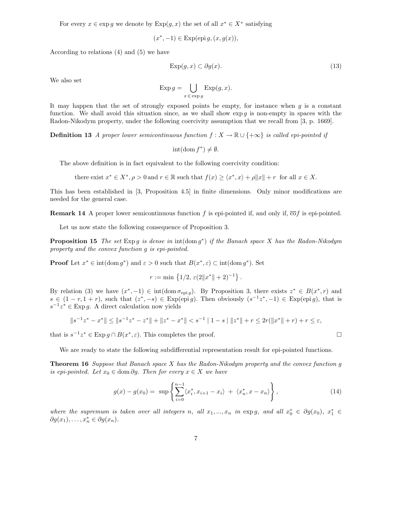For every  $x \in \exp g$  we denote by  $\exp(g, x)$  the set of all  $x^* \in X^*$  satisfying

$$
(x^*, -1) \in \operatorname{Exp}(\operatorname{epi} g, (x, g(x)),
$$

According to relations (4) and (5) we have

$$
\operatorname{Exp}(g, x) \subset \partial g(x). \tag{13}
$$

We also set

$$
\operatorname{Exp} g = \bigcup_{x \in \operatorname{exp} g} \operatorname{Exp}(g, x).
$$

It may happen that the set of strongly exposed points be empty, for instance when  $g$  is a constant function. We shall avoid this situation since, as we shall show  $\exp g$  is non-empty in spaces with the Radon-Nikodym property, under the following coercivity assumption that we recall from [3, p. 1669].

**Definition 13** *A proper lower semicontinuous function*  $f: X \to \mathbb{R} \cup \{+\infty\}$  *is called epi-pointed if* 

$$
int(\mathrm{dom}\, f^*) \neq \emptyset.
$$

The above definition is in fact equivalent to the following coercivity condition:

there exist  $x^* \in X^*$ ,  $\rho > 0$  and  $r \in \mathbb{R}$  such that  $f(x) \geq \langle x^*, x \rangle + \rho \|x\| + r$  for all  $x \in X$ .

This has been established in [3, Proposition 4.5] in finite dimensions. Only minor modifications are needed for the general case.

**Remark 14** A proper lower semicontinuous function f is epi-pointed if, and only if,  $\overline{co}f$  is epi-pointed.

Let us now state the following consequence of Proposition 3.

**Proposition 15** *The set* Exp g *is dense in* int(dom g<sup>∗</sup>) *if the Banach space* <sup>X</sup> *has the Radon-Nikodym property and the convex function* g *is epi-pointed.*

**Proof** Let  $x^* \in \text{int}(\text{dom } g^*)$  and  $\varepsilon > 0$  such that  $B(x^*, \varepsilon) \subset \text{int}(\text{dom } g^*)$ . Set

$$
r := \min \left\{ 1/2, \, \varepsilon(2||x^*|| + 2)^{-1} \right\}
$$

By relation (3) we have  $(x^*, -1) \in \text{int}(\text{dom }\sigma_{\text{epi }q})$ . By Proposition 3, there exists  $z^* \in B(x^*, r)$  and  $s \in (1 - r, 1 + r)$ , such that  $(z^*, -s) \in \text{Exp}(epi g)$ . Then obviously  $(s^{-1}z^*, -1) \in \text{Exp}(epi g)$ , that is  $s^{-1}z^* \in \text{Exp } q$ . A direct calculation now yields

$$
||s^{-1}z^* - x^*|| \le ||s^{-1}z^* - z^*|| + ||z^* - x^*|| < s^{-1} |1 - s| ||z^*|| + r \le 2r(||x^*|| + r) + r \le \varepsilon,
$$

that is  $s^{-1}z^* \in \text{Exp } q \cap B(x^*, \varepsilon)$ . This completes the proof.

We are ready to state the following subdifferential representation result for epi-pointed functions.

**Theorem 16** *Suppose that Banach space* X *has the Radon-Nikodym property and the convex function* g *is epi-pointed.* Let  $x_0 \in \text{dom } \partial g$ . Then for every  $x \in X$  *we have* 

$$
g(x) - g(x_0) = \sup \left\{ \sum_{i=0}^{n-1} \langle x_i^*, x_{i+1} - x_i \rangle + \langle x_n^*, x - x_n \rangle \right\},\tag{14}
$$

*where the supremum is taken over all integers n, all*  $x_1, ..., x_n$  *in* exp *g, and all*  $x_0^* \in \partial g(x_0)$ *,*  $x_1^* \in \partial g(x_1)$  $\partial g(x_1), \ldots, x_n^* \in \partial g(x_n).$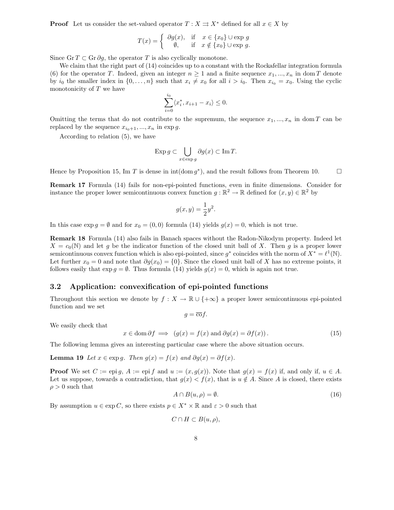**Proof** Let us consider the set-valued operator  $T : X \rightrightarrows X^*$  defined for all  $x \in X$  by

$$
T(x) = \begin{cases} \n\partial g(x), & \text{if } x \in \{x_0\} \cup \exp g, \\ \n\emptyset, & \text{if } x \notin \{x_0\} \cup \exp g. \n\end{cases}
$$

Since Gr  $T \subset$  Gr  $\partial g$ , the operator T is also cyclically monotone.

We claim that the right part of  $(14)$  coincides up to a constant with the Rockafellar integration formula (6) for the operator T. Indeed, given an integer  $n \geq 1$  and a finite sequence  $x_1, ..., x_n$  in dom T denote by  $i_0$  the smaller index in  $\{0,\ldots,n\}$  such that  $x_i \neq x_0$  for all  $i > i_0$ . Then  $x_{i_0} = x_0$ . Using the cyclic monotonicity of  $T$  we have

$$
\sum_{i=0}^{i_0} \langle x_i^*, x_{i+1} - x_i \rangle \le 0.
$$

Omitting the terms that do not contribute to the supremum, the sequence  $x_1, ..., x_n$  in dom T can be replaced by the sequence  $x_{i_0+1}, ..., x_n$  in exp g.

According to relation (5), we have

$$
\operatorname{Exp} g \subset \bigcup_{x \in \operatorname{exp} g} \partial g(x) \subset \operatorname{Im} T.
$$

Hence by Proposition 15, Im T is dense in int(dom  $q^*$ ), and the result follows from Theorem 10.

**Remark 17** Formula (14) fails for non-epi-pointed functions, even in finite dimensions. Consider for instance the proper lower semicontinuous convex function  $g : \mathbb{R}^2 \to \mathbb{R}$  defined for  $(x, y) \in \mathbb{R}^2$  by

$$
g(x,y) = \frac{1}{2}y^2.
$$

In this case  $\exp g = \emptyset$  and for  $x_0 = (0, 0)$  formula (14) yields  $g(x) = 0$ , which is not true.

**Remark 18** Formula (14) also fails in Banach spaces without the Radon-Nikodym property. Indeed let  $X = c_0(N)$  and let g be the indicator function of the closed unit ball of X. Then g is a proper lower semicontinuous convex function which is also epi-pointed, since  $g^*$  coincides with the norm of  $X^* = \ell^1(\mathbb{N})$ . Let further  $x_0 = 0$  and note that  $\partial g(x_0) = \{0\}$ . Since the closed unit ball of X has no extreme points, it follows easily that  $\exp g = \emptyset$ . Thus formula (14) yields  $g(x) = 0$ , which is again not true.

### **3.2 Application: convexification of epi-pointed functions**

Throughout this section we denote by  $f : X \to \mathbb{R} \cup \{+\infty\}$  a proper lower semicontinuous epi-pointed function and we set

 $g = \overline{\mathrm{co}} f$ .

We easily check that

$$
x \in \text{dom } \partial f \implies (g(x) = f(x) \text{ and } \partial g(x) = \partial f(x)).
$$
 (15)

The following lemma gives an interesting particular case where the above situation occurs.

**Lemma 19** *Let*  $x \in \exp q$ *. Then*  $q(x) = f(x)$  *and*  $\partial q(x) = \partial f(x)$ *.* 

**Proof** We set  $C := \text{epi } q$ ,  $A := \text{epi } f$  and  $u := (x, g(x))$ . Note that  $g(x) = f(x)$  if, and only if,  $u \in A$ . Let us suppose, towards a contradiction, that  $g(x) < f(x)$ , that is  $u \notin A$ . Since A is closed, there exists  $\rho > 0$  such that

$$
A \cap B(u,\rho) = \emptyset. \tag{16}
$$

By assumption  $u \in \exp C$ , so there exists  $p \in X^* \times \mathbb{R}$  and  $\varepsilon > 0$  such that

$$
C \cap H \subset B(u,\rho),
$$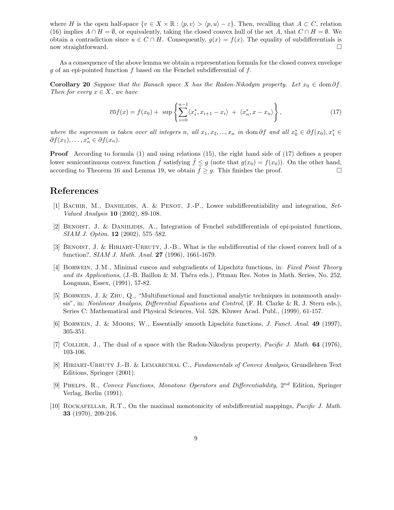where H is the open half-space  $\{v \in X \times \mathbb{R} : \langle p, v \rangle > \langle p, u \rangle - \varepsilon\}$ . Then, recalling that  $A \subset C$ , relation (16) implies  $A \cap H = \emptyset$ , or equivalently, taking the closed convex hull of the set A, that  $C \cap H = \emptyset$ . We obtain a contradiction since  $u \in C \cap H$ . Consequently,  $g(x) = f(x)$ . The equality of subdifferentials is now straightforward. now straightforward.

As a consequence of the above lemma we obtain a representation formula for the closed convex envelope g of an epi-pointed function f based on the Fenchel subdifferential of f.

**Corollary 20** *Suppose that the Banach space* X *has the Radon-Nikodym property.* Let  $x_0 \in \text{dom }\partial f$ . *Then for every*  $x \in X$ *, we have* 

$$
\overline{\text{co}}f(x) = f(x_0) + \sup \left\{ \sum_{i=0}^{n-1} \langle x_i^*, x_{i+1} - x_i \rangle + \langle x_n^*, x - x_n \rangle \right\},\tag{17}
$$

*where the supremum is taken over all integers n, all*  $x_1, x_2, ..., x_n$  *in* dom  $\partial f$  *and all*  $x_0^* \in \partial f(x_0), x_1^* \in \partial f(x_1)$  $\partial f(x_1), \ldots, x_n^* \in \partial f(x_n).$ 

**Proof** According to formula (1) and using relations (15), the right hand side of (17) defines a proper lower semicontinuous convex function  $\hat{f}$  satisfying  $\hat{f} \leq g$  (note that  $g(x_0) = f(x_0)$ ). On the other hand, according to Theorem 16 and Lemma 19, we obtain  $\hat{f} \geq g$ . This finishes the proof. according to Theorem 16 and Lemma 19, we obtain  $\hat{f} \geq g$ . This finishes the proof.

## **References**

- [1] Bachir, M., Daniilidis, A. & Penot, J.-P., Lower subdifferentiability and integration, *Set-Valued Analysis* **10** (2002), 89-108.
- [2] BENOIST, J. & DANIILIDIS, A., Integration of Fenchel subdifferentials of epi-pointed functions, *SIAM J. Optim.* **12** (2002), 575–582.
- [3] BENOIST, J. & HIRIART-URRUTY, J.-B., What is the subdifferential of the closed convex hull of a function?, *SIAM J. Math. Anal.* **27** (1996), 1661-1679.
- [4] Borwein, J.M., Minimal cuscos and subgradients of Lipschitz functions, in: *Fixed Point Theory and its Applications*, (J.-B. Baillon & M. Théra eds.), Pitman Res. Notes in Math. Series, No. 252, Longman, Essex, (1991), 57-82.
- [5] Borwein, J. & Zhu, Q., "Multifunctional and functional analytic techniques in nonsmooth analysis", in: *Nonlinear Analysis, Differential Equations and Control*, (F. H. Clarke & R. J. Stern eds.), Series C: Mathematical and Physical Sciences, Vol. 528, Kluwer Acad. Publ., (1999), 61-157.
- [6] Borwein, J. & Moors, W., Essentially smooth Lipschitz functions, *J. Funct. Anal.* **49** (1997), 305-351.
- [7] Collier, J., The dual of a space with the Radon-Nikodym property, *Pacific J. Math.* **64** (1976), 103-106.
- [8] Hiriart-Urruty J.-B. & Lemarechal C., *Fundamentals of Convex Analysis*, Grundlehren Text Editions, Springer (2001).
- [9] Phelps, R., *Convex Functions, Monotone Operators and Differentiability*, 2*nd* Edition, Springer Verlag, Berlin (1991).
- [10] Rockafellar, R.T., On the maximal monotonicity of subdifferential mappings, *Pacific J. Math.* **33** (1970), 209-216.